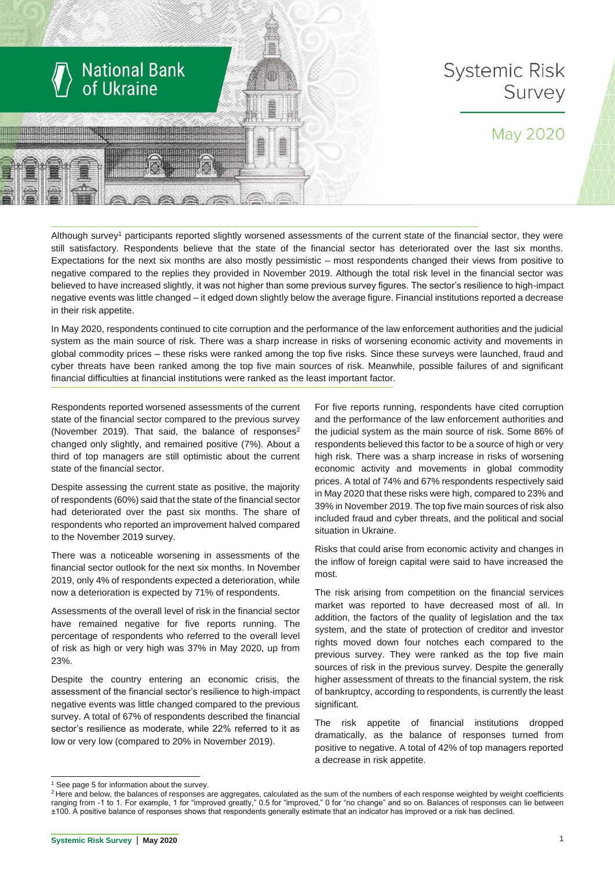

## **Systemic Risk** Survey

## May 2020

Although survey<sup>1</sup> participants reported slightly worsened assessments of the current state of the financial sector, they were still satisfactory. Respondents believe that the state of the financial sector has deteriorated over the last six months. Expectations for the next six months are also mostly pessimistic – most respondents changed their views from positive to negative compared to the replies they provided in November 2019. Although the total risk level in the financial sector was believed to have increased slightly, it was not higher than some previous survey figures. The sector's resilience to high-impact negative events was little changed – it edged down slightly below the average figure. Financial institutions reported a decrease in their risk appetite.

In May 2020, respondents continued to cite corruption and the performance of the law enforcement authorities and the judicial system as the main source of risk. There was a sharp increase in risks of worsening economic activity and movements in global commodity prices – these risks were ranked among the top five risks. Since these surveys were launched, fraud and cyber threats have been ranked among the top five main sources of risk. Meanwhile, possible failures of and significant financial difficulties at financial institutions were ranked as the least important factor.

Respondents reported worsened assessments of the current state of the financial sector compared to the previous survey (November 2019). That said, the balance of responses $2$ changed only slightly, and remained positive (7%). About a third of top managers are still optimistic about the current state of the financial sector.

Despite assessing the current state as positive, the majority of respondents (60%) said that the state of the financial sector had deteriorated over the past six months. The share of respondents who reported an improvement halved compared to the November 2019 survey.

There was a noticeable worsening in assessments of the financial sector outlook for the next six months. In November 2019, only 4% of respondents expected a deterioration, while now a deterioration is expected by 71% of respondents.

Assessments of the overall level of risk in the financial sector have remained negative for five reports running. The percentage of respondents who referred to the overall level of risk as high or very high was 37% in May 2020, up from 23%.

Despite the country entering an economic crisis, the assessment of the financial sector's resilience to high-impact negative events was little changed compared to the previous survey. A total of 67% of respondents described the financial sector's resilience as moderate, while 22% referred to it as low or very low (compared to 20% in November 2019).

For five reports running, respondents have cited corruption and the performance of the law enforcement authorities and the judicial system as the main source of risk. Some 86% of respondents believed this factor to be a source of high or very high risk. There was a sharp increase in risks of worsening economic activity and movements in global commodity prices. A total of 74% and 67% respondents respectively said in May 2020 that these risks were high, compared to 23% and 39% in November 2019. The top five main sources of risk also included fraud and cyber threats, and the political and social situation in Ukraine.

Risks that could arise from economic activity and changes in the inflow of foreign capital were said to have increased the most.

The risk arising from competition on the financial services market was reported to have decreased most of all. In addition, the factors of the quality of legislation and the tax system, and the state of protection of creditor and investor rights moved down four notches each compared to the previous survey. They were ranked as the top five main sources of risk in the previous survey. Despite the generally higher assessment of threats to the financial system, the risk of bankruptcy, according to respondents, is currently the least significant.

The risk appetite of financial institutions dropped dramatically, as the balance of responses turned from positive to negative. A total of 42% of top managers reported a decrease in risk appetite.

 $\overline{a}$ 

<sup>&</sup>lt;sup>1</sup> See page 5 for information about the survey.

<sup>&</sup>lt;sup>2</sup> Here and below, the balances of responses are aggregates, calculated as the sum of the numbers of each response weighted by weight coefficients ranging from -1 to 1. For example, 1 for "improved greatly," 0.5 for "improved," 0 for "no change" and so on. Balances of responses can lie between ±100. A positive balance of responses shows that respondents generally estimate that an indicator has improved or a risk has declined.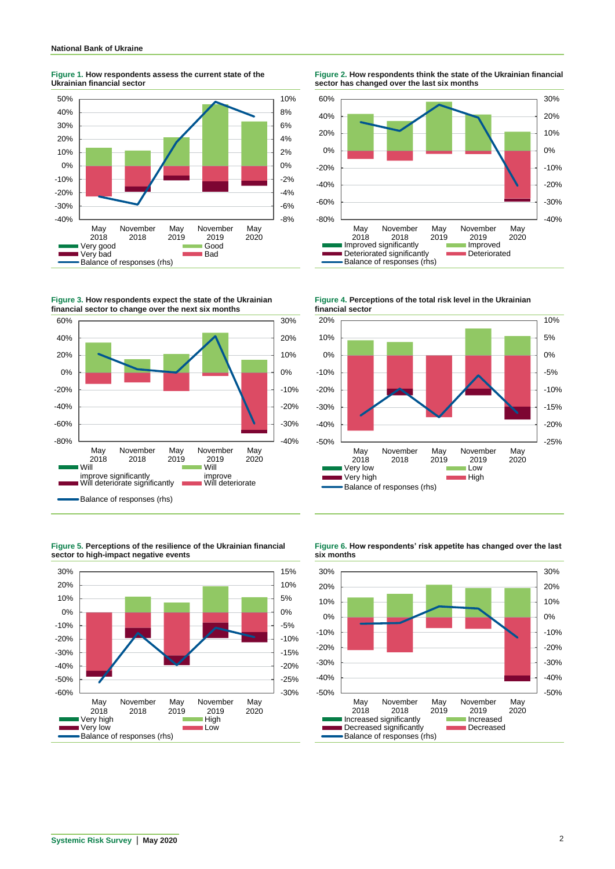**Figure 1. How respondents assess the current state of the Ukrainian financial sector**



**Figure 3. How respondents expect the state of the Ukrainian financial sector to change over the next six months**



**Figure 5. Perceptions of the resilience of the Ukrainian financial sector to high-impact negative events**



**Figure 2. How respondents think the state of the Ukrainian financial sector has changed over the last six months**



**Figure 4. Perceptions of the total risk level in the Ukrainian financial sector**





**Figure 6. How respondents' risk appetite has changed over the last** 

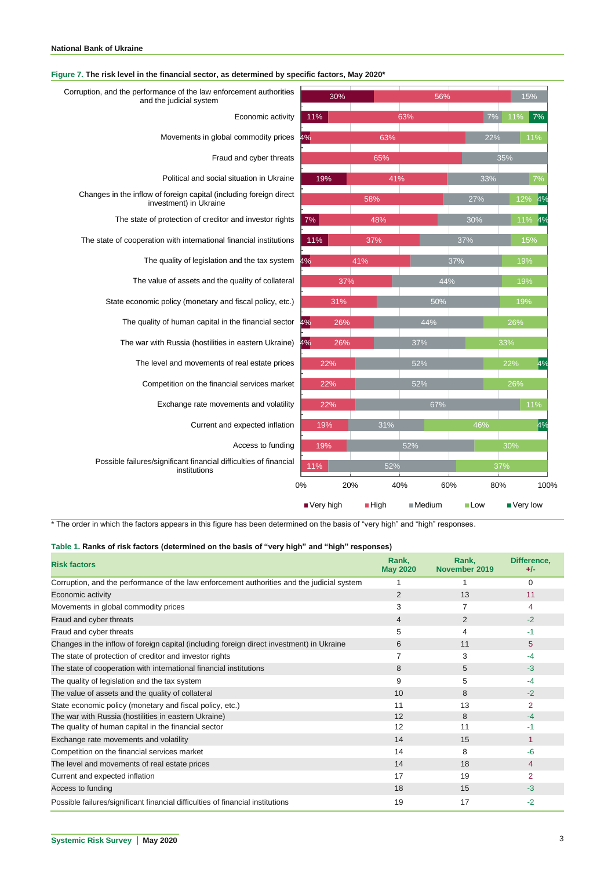**Figure 7. The risk level in the financial sector, as determined by specific factors, May 2020\***

| Corruption, and the performance of the law enforcement authorities<br>and the judicial system | 30%         |        | 56%       |                    | 15%        |  |
|-----------------------------------------------------------------------------------------------|-------------|--------|-----------|--------------------|------------|--|
| Economic activity                                                                             | 11%         |        | 63%       | 7%                 | 11%<br>7%  |  |
| Movements in global commodity prices                                                          | 4%          | 63%    |           | 22%                | 11%        |  |
| Fraud and cyber threats                                                                       |             | 65%    |           |                    | 35%        |  |
| Political and social situation in Ukraine                                                     | 19%         | 41%    | 33%       |                    | 7%         |  |
| Changes in the inflow of foreign capital (including foreign direct<br>investment) in Ukraine  |             | 58%    |           | 27%                | 12%<br>4%  |  |
| The state of protection of creditor and investor rights                                       | 7%          | 48%    |           | 30%                | $11\%$ 4%  |  |
| The state of cooperation with international financial institutions                            | 11%         | 37%    |           | 37%                | 15%        |  |
| The quality of legislation and the tax system                                                 | 4%          | 41%    |           | 37%                | 19%        |  |
| The value of assets and the quality of collateral                                             | 37%         |        | 44%       |                    | 19%        |  |
| State economic policy (monetary and fiscal policy, etc.)                                      | 31%         |        | 50%       |                    | 19%        |  |
| The quality of human capital in the financial sector                                          | 4%<br>26%   |        | 44%       |                    | 26%        |  |
| The war with Russia (hostilities in eastern Ukraine)                                          | 4%<br>26%   |        | 37%       |                    | 33%        |  |
| The level and movements of real estate prices                                                 | 22%         |        | 52%       |                    | 4%<br>22%  |  |
| Competition on the financial services market                                                  | 22%         |        | 52%       |                    | 26%        |  |
| Exchange rate movements and volatility                                                        | 22%         |        | 67%       |                    | 11%        |  |
| Current and expected inflation                                                                | 19%         | 31%    |           | 46%                | 4%         |  |
| Access to funding                                                                             | 19%         |        | 52%       |                    | 30%        |  |
| Possible failures/significant financial difficulties of financial<br>institutions             | 11%         | 52%    |           |                    | 37%        |  |
|                                                                                               | 0%          | 20%    | 40%       | 60%<br>80%         | 100%       |  |
|                                                                                               | ■ Very high | ■ High | $M$ edium | $\blacksquare$ Low | ■ Very low |  |

\* The order in which the factors appears in this figure has been determined on the basis of "very high" and "high" responses.

**Table 1. Ranks of risk factors (determined on the basis of "very high" and "high" responses)**

| <b>Risk factors</b>                                                                        | Rank,<br><b>May 2020</b> | Rank,<br>November 2019 | Difference,<br>$+/-$ |
|--------------------------------------------------------------------------------------------|--------------------------|------------------------|----------------------|
| Corruption, and the performance of the law enforcement authorities and the judicial system |                          |                        | 0                    |
| Economic activity                                                                          | $\overline{2}$           | 13                     | 11                   |
| Movements in global commodity prices                                                       | 3                        | 7                      | 4                    |
| Fraud and cyber threats                                                                    | 4                        | 2                      | $-2$                 |
| Fraud and cyber threats                                                                    | 5                        | 4                      | $-1$                 |
| Changes in the inflow of foreign capital (including foreign direct investment) in Ukraine  | 6                        | 11                     | 5                    |
| The state of protection of creditor and investor rights                                    | 7                        | 3                      | $-4$                 |
| The state of cooperation with international financial institutions                         | 8                        | 5                      | $-3$                 |
| The quality of legislation and the tax system                                              | 9                        | 5                      | $-4$                 |
| The value of assets and the quality of collateral                                          | 10                       | 8                      | $-2$                 |
| State economic policy (monetary and fiscal policy, etc.)                                   | 11                       | 13                     | $\overline{2}$       |
| The war with Russia (hostilities in eastern Ukraine)                                       | 12                       | 8                      | $-4$                 |
| The quality of human capital in the financial sector                                       | 12                       | 11                     | -1                   |
| Exchange rate movements and volatility                                                     | 14                       | 15                     | 1                    |
| Competition on the financial services market                                               | 14                       | 8                      | $-6$                 |
| The level and movements of real estate prices                                              | 14                       | 18                     | 4                    |
| Current and expected inflation                                                             | 17                       | 19                     | 2                    |
| Access to funding                                                                          | 18                       | 15                     | $-3$                 |
| Possible failures/significant financial difficulties of financial institutions             | 19                       | 17                     | $-2$                 |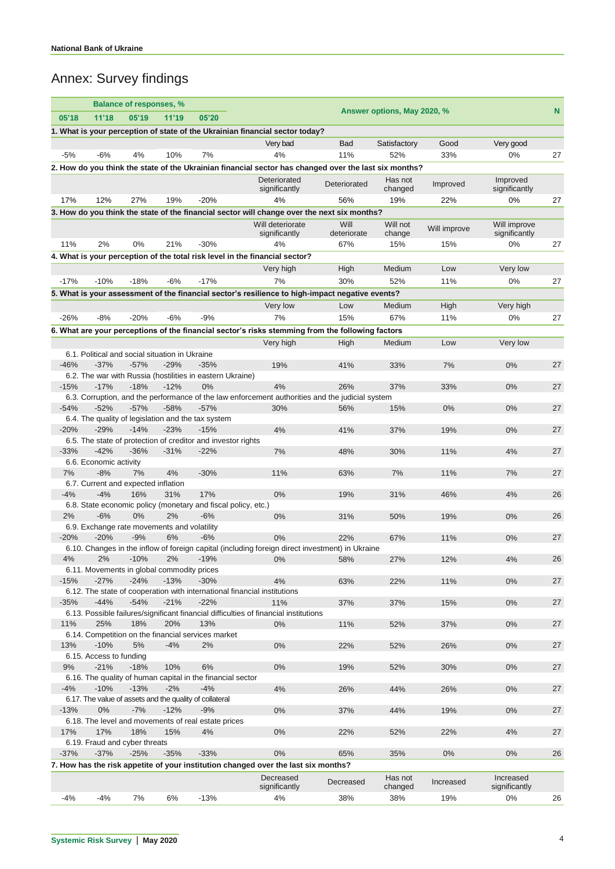## Annex: Survey findings

|                                                                                                                                   | <b>Balance of responses, %</b>                                                                        |        |        |                                                                     |                                                                                                  |                     |               |              |                               |    |
|-----------------------------------------------------------------------------------------------------------------------------------|-------------------------------------------------------------------------------------------------------|--------|--------|---------------------------------------------------------------------|--------------------------------------------------------------------------------------------------|---------------------|---------------|--------------|-------------------------------|----|
| 05'18                                                                                                                             | 11'18                                                                                                 | 05'19  | 11'19  | N<br>Answer options, May 2020, %<br>05'20                           |                                                                                                  |                     |               |              |                               |    |
|                                                                                                                                   |                                                                                                       |        |        |                                                                     | 1. What is your perception of state of the Ukrainian financial sector today?                     |                     |               |              |                               |    |
|                                                                                                                                   |                                                                                                       |        |        |                                                                     | Very bad                                                                                         | Bad                 | Satisfactory  | Good         | Very good                     |    |
| $-5%$                                                                                                                             | $-6%$                                                                                                 | 4%     | 10%    | 7%                                                                  | 4%                                                                                               | 11%                 | 52%           | 33%          | $0\%$                         | 27 |
|                                                                                                                                   | 2. How do you think the state of the Ukrainian financial sector has changed over the last six months? |        |        |                                                                     |                                                                                                  |                     |               |              |                               |    |
|                                                                                                                                   |                                                                                                       |        |        |                                                                     | Deteriorated                                                                                     | Deteriorated        | Has not       | Improved     | Improved                      |    |
|                                                                                                                                   |                                                                                                       |        |        |                                                                     | significantly                                                                                    |                     | changed       |              | significantly                 |    |
| 17%                                                                                                                               | 12%                                                                                                   | 27%    | 19%    | $-20%$                                                              | 4%                                                                                               | 56%                 | 19%           | 22%          | 0%                            | 27 |
|                                                                                                                                   |                                                                                                       |        |        |                                                                     | 3. How do you think the state of the financial sector will change over the next six months?      |                     |               |              |                               |    |
|                                                                                                                                   |                                                                                                       |        |        |                                                                     | Will deteriorate                                                                                 | Will<br>deteriorate | Will not      | Will improve | Will improve<br>significantly |    |
| 11%                                                                                                                               | 2%                                                                                                    | 0%     | 21%    | $-30%$                                                              | significantly<br>4%                                                                              | 67%                 | change<br>15% | 15%          | $0\%$                         | 27 |
|                                                                                                                                   |                                                                                                       |        |        |                                                                     | 4. What is your perception of the total risk level in the financial sector?                      |                     |               |              |                               |    |
|                                                                                                                                   |                                                                                                       |        |        |                                                                     | Very high                                                                                        | High                | Medium        | Low          | Very low                      |    |
| $-17%$                                                                                                                            | $-10%$                                                                                                | $-18%$ | $-6%$  | $-17%$                                                              | 7%                                                                                               | 30%                 | 52%           | 11%          | $0\%$                         | 27 |
|                                                                                                                                   |                                                                                                       |        |        |                                                                     |                                                                                                  |                     |               |              |                               |    |
|                                                                                                                                   |                                                                                                       |        |        |                                                                     | 5. What is your assessment of the financial sector's resilience to high-impact negative events?  |                     |               |              |                               |    |
|                                                                                                                                   |                                                                                                       |        |        |                                                                     | Very low                                                                                         | Low                 | Medium        | High         | Very high                     |    |
| $-26%$                                                                                                                            | $-8%$                                                                                                 | $-20%$ | $-6%$  | $-9%$                                                               | 7%                                                                                               | 15%                 | 67%           | 11%          | 0%                            | 27 |
|                                                                                                                                   |                                                                                                       |        |        |                                                                     | 6. What are your perceptions of the financial sector's risks stemming from the following factors |                     |               |              |                               |    |
|                                                                                                                                   |                                                                                                       |        |        |                                                                     | Very high                                                                                        | High                | Medium        | Low          | Very low                      |    |
|                                                                                                                                   | 6.1. Political and social situation in Ukraine                                                        |        |        |                                                                     |                                                                                                  |                     |               |              |                               |    |
| $-46%$                                                                                                                            | $-37%$                                                                                                | $-57%$ | $-29%$ | $-35%$<br>6.2. The war with Russia (hostilities in eastern Ukraine) | 19%                                                                                              | 41%                 | 33%           | 7%           | 0%                            | 27 |
| $-15%$                                                                                                                            | $-17%$                                                                                                | $-18%$ | $-12%$ | 0%                                                                  | 4%                                                                                               | 26%                 | 37%           | 33%          | 0%                            | 27 |
|                                                                                                                                   |                                                                                                       |        |        |                                                                     | 6.3. Corruption, and the performance of the law enforcement authorities and the judicial system  |                     |               |              |                               |    |
| $-54%$                                                                                                                            | $-52%$                                                                                                | $-57%$ | $-58%$ | $-57%$                                                              | 30%                                                                                              | 56%                 | 15%           | 0%           | 0%                            | 27 |
|                                                                                                                                   | 6.4. The quality of legislation and the tax system                                                    |        |        |                                                                     |                                                                                                  |                     |               |              |                               |    |
| $-20%$                                                                                                                            | $-29%$                                                                                                | $-14%$ | $-23%$ | $-15%$                                                              | 4%                                                                                               | 41%                 | 37%           | 19%          | 0%                            | 27 |
|                                                                                                                                   |                                                                                                       |        |        | 6.5. The state of protection of creditor and investor rights        |                                                                                                  |                     |               |              |                               |    |
| $-33%$                                                                                                                            | $-42%$                                                                                                | $-36%$ | $-31%$ | $-22%$                                                              | 7%                                                                                               | 48%                 | 30%           | 11%          | 4%                            | 27 |
|                                                                                                                                   | 6.6. Economic activity                                                                                |        |        |                                                                     |                                                                                                  |                     |               |              |                               |    |
| 7%                                                                                                                                | $-8%$                                                                                                 | 7%     | 4%     | $-30%$                                                              | 11%                                                                                              | 63%                 | 7%            | 11%          | 7%                            | 27 |
| -4%                                                                                                                               | 6.7. Current and expected inflation<br>$-4%$                                                          | 16%    | 31%    | 17%                                                                 | 0%                                                                                               | 19%                 | 31%           | 46%          | 4%                            | 26 |
|                                                                                                                                   |                                                                                                       |        |        | 6.8. State economic policy (monetary and fiscal policy, etc.)       |                                                                                                  |                     |               |              |                               |    |
| 2%                                                                                                                                | $-6%$                                                                                                 | $0\%$  | 2%     | $-6%$                                                               | $0\%$                                                                                            | 31%                 | 50%           | 19%          | 0%                            | 26 |
|                                                                                                                                   |                                                                                                       |        |        |                                                                     |                                                                                                  |                     |               |              |                               |    |
| 6.9. Exchange rate movements and volatility<br>0%<br>27<br>$-20%$<br>$-20%$<br>$-9%$<br>6%<br>$-6%$<br>$0\%$<br>22%<br>67%<br>11% |                                                                                                       |        |        |                                                                     |                                                                                                  |                     |               |              |                               |    |
|                                                                                                                                   |                                                                                                       |        |        |                                                                     | 6.10. Changes in the inflow of foreign capital (including foreign direct investment) in Ukraine  |                     |               |              |                               |    |
| 4%                                                                                                                                |                                                                                                       |        |        |                                                                     | $-10\%$ 2% $-19\%$ 0%                                                                            |                     | 27%           | 12%          | 4%                            | 26 |
|                                                                                                                                   | 6.11. Movements in global commodity prices                                                            |        |        |                                                                     |                                                                                                  |                     |               |              |                               |    |
| $-15%$                                                                                                                            | $-27%$                                                                                                | $-24%$ | $-13%$ | $-30%$                                                              | 4%                                                                                               | 63%                 | 22%           | 11%          | 0%                            | 27 |
| $-35%$                                                                                                                            | $-44%$                                                                                                | $-54%$ | $-21%$ | $-22%$                                                              | 6.12. The state of cooperation with international financial institutions<br>11%                  | 37%                 | 37%           |              | $0\%$                         | 27 |
|                                                                                                                                   |                                                                                                       |        |        |                                                                     | 6.13. Possible failures/significant financial difficulties of financial institutions             |                     |               | 15%          |                               |    |
| 11%                                                                                                                               | 25%                                                                                                   | 18%    | 20%    | 13%                                                                 | $0\%$                                                                                            | 11%                 | 52%           | 37%          | 0%                            | 27 |
|                                                                                                                                   |                                                                                                       |        |        | 6.14. Competition on the financial services market                  |                                                                                                  |                     |               |              |                               |    |
| 13%                                                                                                                               | $-10%$                                                                                                | 5%     | $-4%$  | 2%                                                                  | 0%                                                                                               | 22%                 | 52%           | 26%          | $0\%$                         | 27 |
|                                                                                                                                   | 6.15. Access to funding                                                                               |        |        |                                                                     |                                                                                                  |                     |               |              |                               |    |
| 9%                                                                                                                                | $-21%$                                                                                                | $-18%$ | 10%    | 6%                                                                  | $0\%$                                                                                            | 19%                 | 52%           | 30%          | 0%                            | 27 |
| 6.16. The quality of human capital in the financial sector                                                                        |                                                                                                       |        |        |                                                                     |                                                                                                  |                     |               |              |                               |    |
| $-4%$                                                                                                                             | $-10%$                                                                                                | $-13%$ | $-2%$  | $-4%$                                                               | 4%                                                                                               | 26%                 | 44%           | 26%          | 0%                            | 27 |
|                                                                                                                                   | 6.17. The value of assets and the quality of collateral                                               |        |        |                                                                     |                                                                                                  |                     |               |              |                               |    |
| $-13%$                                                                                                                            | $0\%$                                                                                                 | $-7%$  | $-12%$ | $-9%$<br>6.18. The level and movements of real estate prices        | 0%                                                                                               | 37%                 | 44%           | 19%          | 0%                            | 27 |
| 17%                                                                                                                               | 17%                                                                                                   | 18%    | 15%    | 4%                                                                  | 0%                                                                                               | 22%                 | 52%           | 22%          | 4%                            | 27 |
|                                                                                                                                   | 6.19. Fraud and cyber threats                                                                         |        |        |                                                                     |                                                                                                  |                     |               |              |                               |    |
| $-37%$                                                                                                                            | $-37%$                                                                                                | $-25%$ | $-35%$ | $-33%$                                                              | 0%                                                                                               | 65%                 | 35%           | 0%           | $0\%$                         | 26 |
| 7. How has the risk appetite of your institution changed over the last six months?                                                |                                                                                                       |        |        |                                                                     |                                                                                                  |                     |               |              |                               |    |
| Decreased<br>Has not<br>Increased                                                                                                 |                                                                                                       |        |        |                                                                     |                                                                                                  |                     |               |              |                               |    |
|                                                                                                                                   |                                                                                                       |        |        |                                                                     | significantly                                                                                    | Decreased           | changed       | Increased    | significantly                 |    |
| -4%                                                                                                                               | $-4%$                                                                                                 | 7%     | 6%     | $-13%$                                                              | 4%                                                                                               | 38%                 | 38%           | 19%          | 0%                            | 26 |